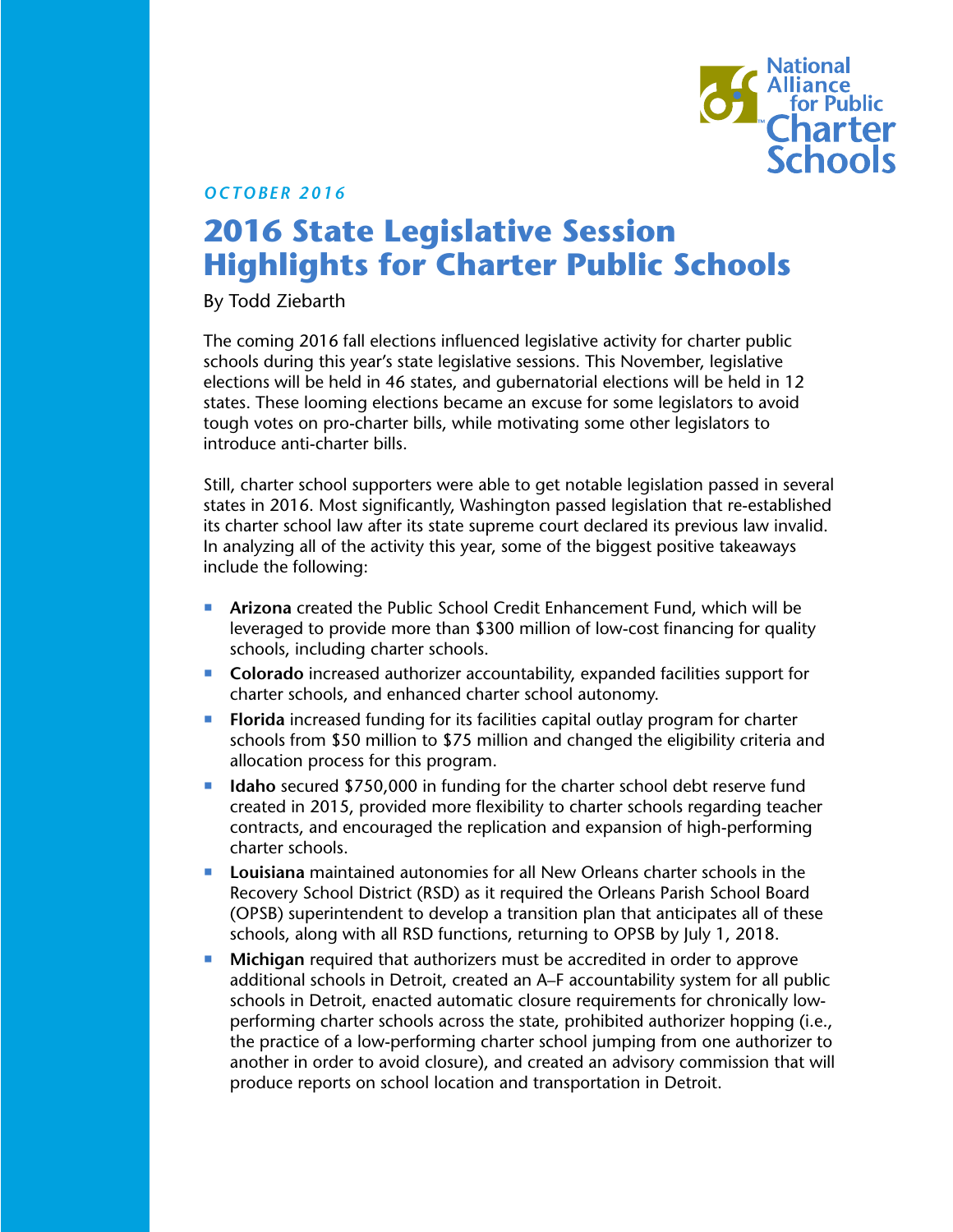

*OCTOBER 2016*

# **2016 State Legislative Session Highlights for Charter Public Schools**

By Todd Ziebarth

The coming 2016 fall elections influenced legislative activity for charter public schools during this year's state legislative sessions. This November, legislative elections will be held in 46 states, and gubernatorial elections will be held in 12 states. These looming elections became an excuse for some legislators to avoid tough votes on pro-charter bills, while motivating some other legislators to introduce anti-charter bills.

Still, charter school supporters were able to get notable legislation passed in several states in 2016. Most significantly, Washington passed legislation that re-established its charter school law after its state supreme court declared its previous law invalid. In analyzing all of the activity this year, some of the biggest positive takeaways include the following:

- **Arizona** created the Public School Credit Enhancement Fund, which will be leveraged to provide more than \$300 million of low-cost financing for quality schools, including charter schools.
- **Colorado** increased authorizer accountability, expanded facilities support for charter schools, and enhanced charter school autonomy.
- **FIorida** increased funding for its facilities capital outlay program for charter schools from \$50 million to \$75 million and changed the eligibility criteria and allocation process for this program.
- **IDED** Idaho secured \$750,000 in funding for the charter school debt reserve fund created in 2015, provided more flexibility to charter schools regarding teacher contracts, and encouraged the replication and expansion of high-performing charter schools.
- **Louisiana** maintained autonomies for all New Orleans charter schools in the Recovery School District (RSD) as it required the Orleans Parish School Board (OPSB) superintendent to develop a transition plan that anticipates all of these schools, along with all RSD functions, returning to OPSB by July 1, 2018.
- **Michigan** required that authorizers must be accredited in order to approve additional schools in Detroit, created an A–F accountability system for all public schools in Detroit, enacted automatic closure requirements for chronically lowperforming charter schools across the state, prohibited authorizer hopping (i.e., the practice of a low-performing charter school jumping from one authorizer to another in order to avoid closure), and created an advisory commission that will produce reports on school location and transportation in Detroit.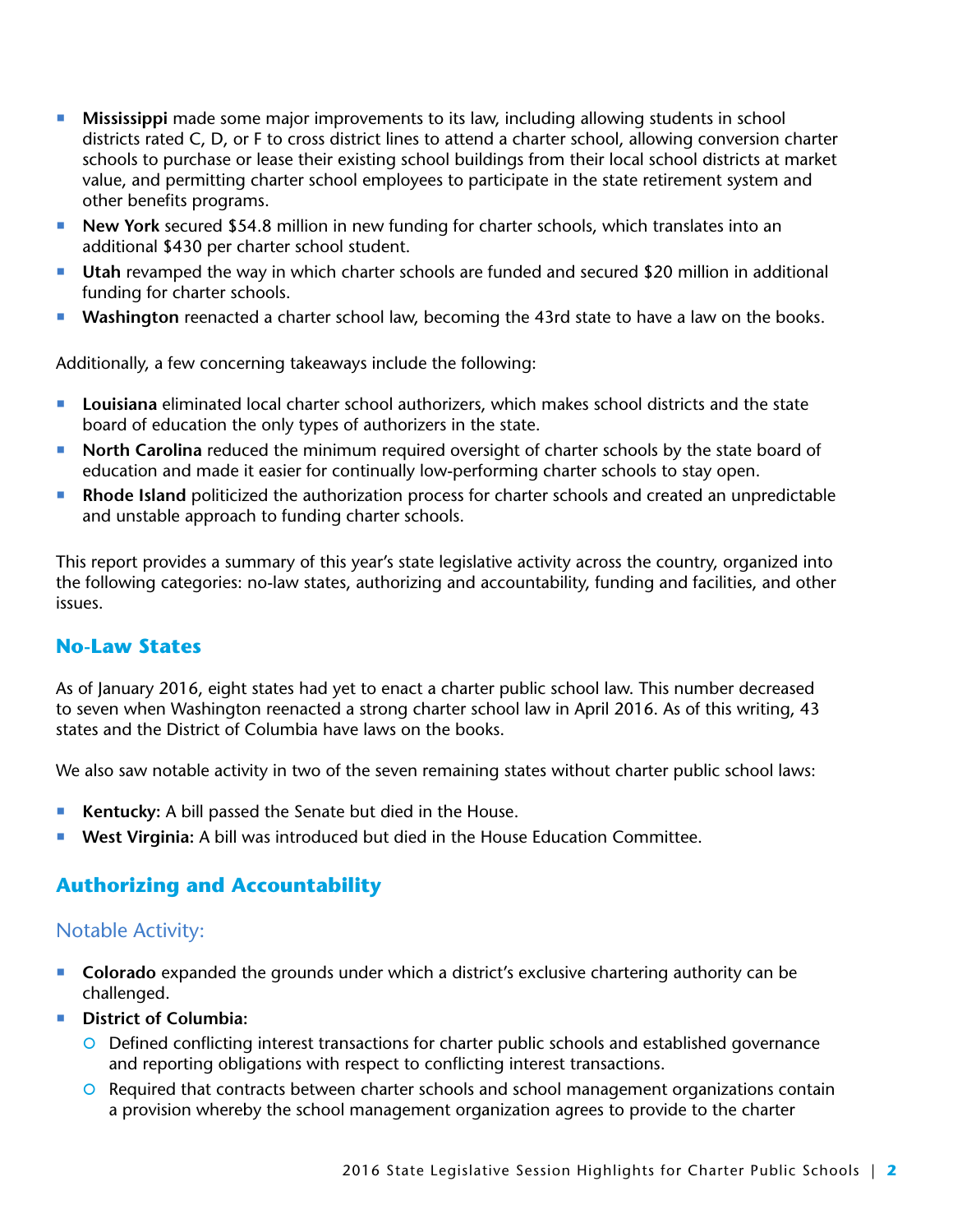- **Mississippi** made some major improvements to its law, including allowing students in school districts rated C, D, or F to cross district lines to attend a charter school, allowing conversion charter schools to purchase or lease their existing school buildings from their local school districts at market value, and permitting charter school employees to participate in the state retirement system and other benefits programs.
- **New York** secured \$54.8 million in new funding for charter schools, which translates into an additional \$430 per charter school student.
- **Utah** revamped the way in which charter schools are funded and secured \$20 million in additional funding for charter schools.
- **Washington** reenacted a charter school law, becoming the 43rd state to have a law on the books.

Additionally, a few concerning takeaways include the following:

- **Louisiana** eliminated local charter school authorizers, which makes school districts and the state board of education the only types of authorizers in the state.
- **North Carolina** reduced the minimum required oversight of charter schools by the state board of education and made it easier for continually low-performing charter schools to stay open.
- **Rhode Island** politicized the authorization process for charter schools and created an unpredictable and unstable approach to funding charter schools.

This report provides a summary of this year's state legislative activity across the country, organized into the following categories: no-law states, authorizing and accountability, funding and facilities, and other issues.

## **No-Law States**

As of January 2016, eight states had yet to enact a charter public school law. This number decreased to seven when Washington reenacted a strong charter school law in April 2016. As of this writing, 43 states and the District of Columbia have laws on the books.

We also saw notable activity in two of the seven remaining states without charter public school laws:

- **Kentucky:** A bill passed the Senate but died in the House.
- **West Virginia:** A bill was introduced but died in the House Education Committee.

## **Authorizing and Accountability**

## Notable Activity:

- **Colorado** expanded the grounds under which a district's exclusive chartering authority can be challenged.
- **District of Columbia:**
	- O Defined conflicting interest transactions for charter public schools and established governance and reporting obligations with respect to conflicting interest transactions.
	- O Required that contracts between charter schools and school management organizations contain a provision whereby the school management organization agrees to provide to the charter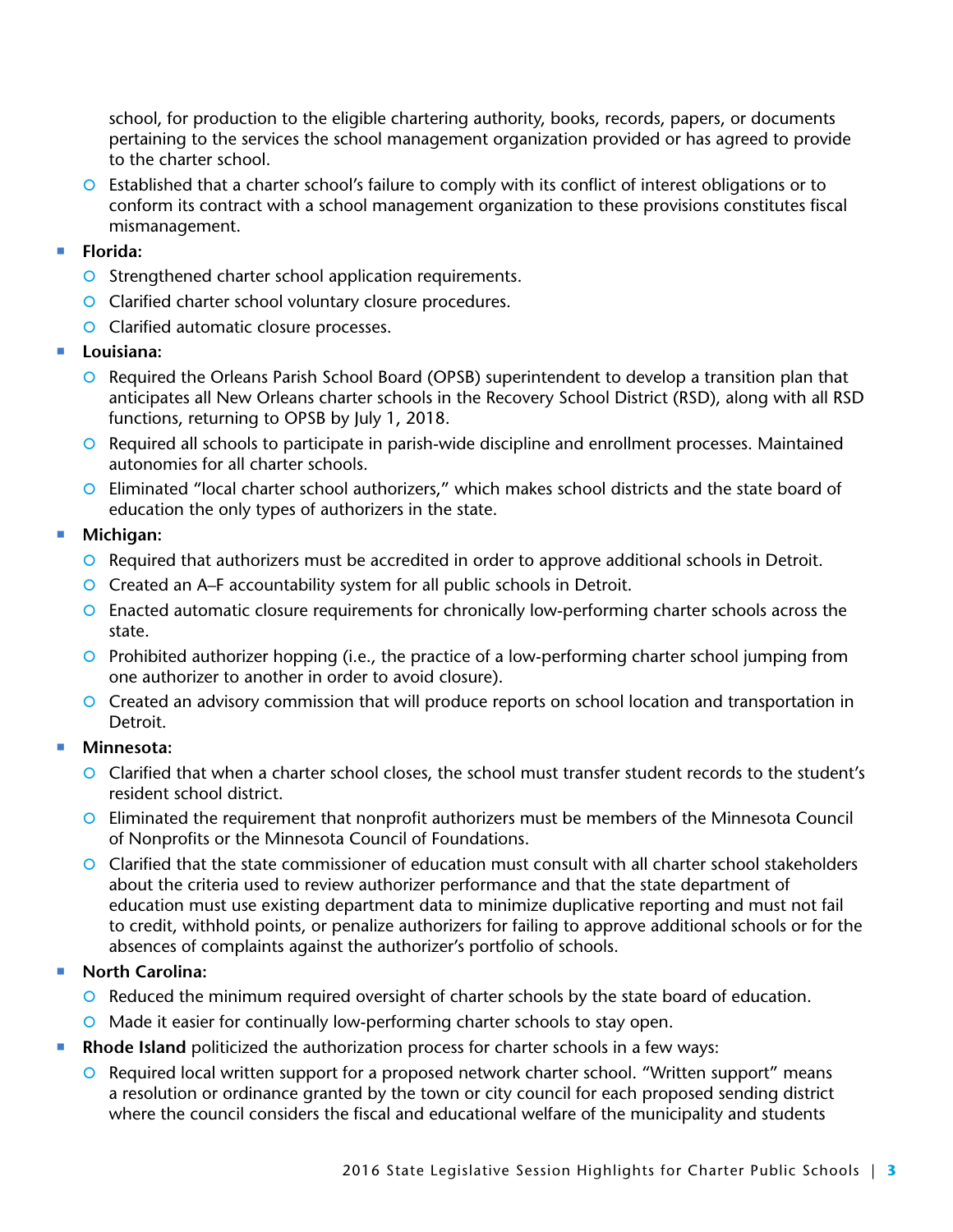school, for production to the eligible chartering authority, books, records, papers, or documents pertaining to the services the school management organization provided or has agreed to provide to the charter school.

- | Established that a charter school's failure to comply with its conflict of interest obligations or to conform its contract with a school management organization to these provisions constitutes fiscal mismanagement.
- **Florida:**
	- O Strengthened charter school application requirements.
	- O Clarified charter school voluntary closure procedures.
	- **O** Clarified automatic closure processes.
- **Louisiana:**
	- O Required the Orleans Parish School Board (OPSB) superintendent to develop a transition plan that anticipates all New Orleans charter schools in the Recovery School District (RSD), along with all RSD functions, returning to OPSB by July 1, 2018.
	- O Required all schools to participate in parish-wide discipline and enrollment processes. Maintained autonomies for all charter schools.
	- | Eliminated "local charter school authorizers," which makes school districts and the state board of education the only types of authorizers in the state.
- **Michigan:**
	- O Required that authorizers must be accredited in order to approve additional schools in Detroit.
	- O Created an A–F accountability system for all public schools in Detroit.
	- | Enacted automatic closure requirements for chronically low-performing charter schools across the state.
	- $\circ$  Prohibited authorizer hopping (i.e., the practice of a low-performing charter school jumping from one authorizer to another in order to avoid closure).
	- | Created an advisory commission that will produce reports on school location and transportation in Detroit.
- **Minnesota:**
	- | Clarified that when a charter school closes, the school must transfer student records to the student's resident school district.
	- O Eliminated the requirement that nonprofit authorizers must be members of the Minnesota Council of Nonprofits or the Minnesota Council of Foundations.
	- | Clarified that the state commissioner of education must consult with all charter school stakeholders about the criteria used to review authorizer performance and that the state department of education must use existing department data to minimize duplicative reporting and must not fail to credit, withhold points, or penalize authorizers for failing to approve additional schools or for the absences of complaints against the authorizer's portfolio of schools.

### ■ North Carolina:

- $\circ$  Reduced the minimum required oversight of charter schools by the state board of education.
- | Made it easier for continually low-performing charter schools to stay open.
- **Rhode Island** politicized the authorization process for charter schools in a few ways:
	- | Required local written support for a proposed network charter school. "Written support" means a resolution or ordinance granted by the town or city council for each proposed sending district where the council considers the fiscal and educational welfare of the municipality and students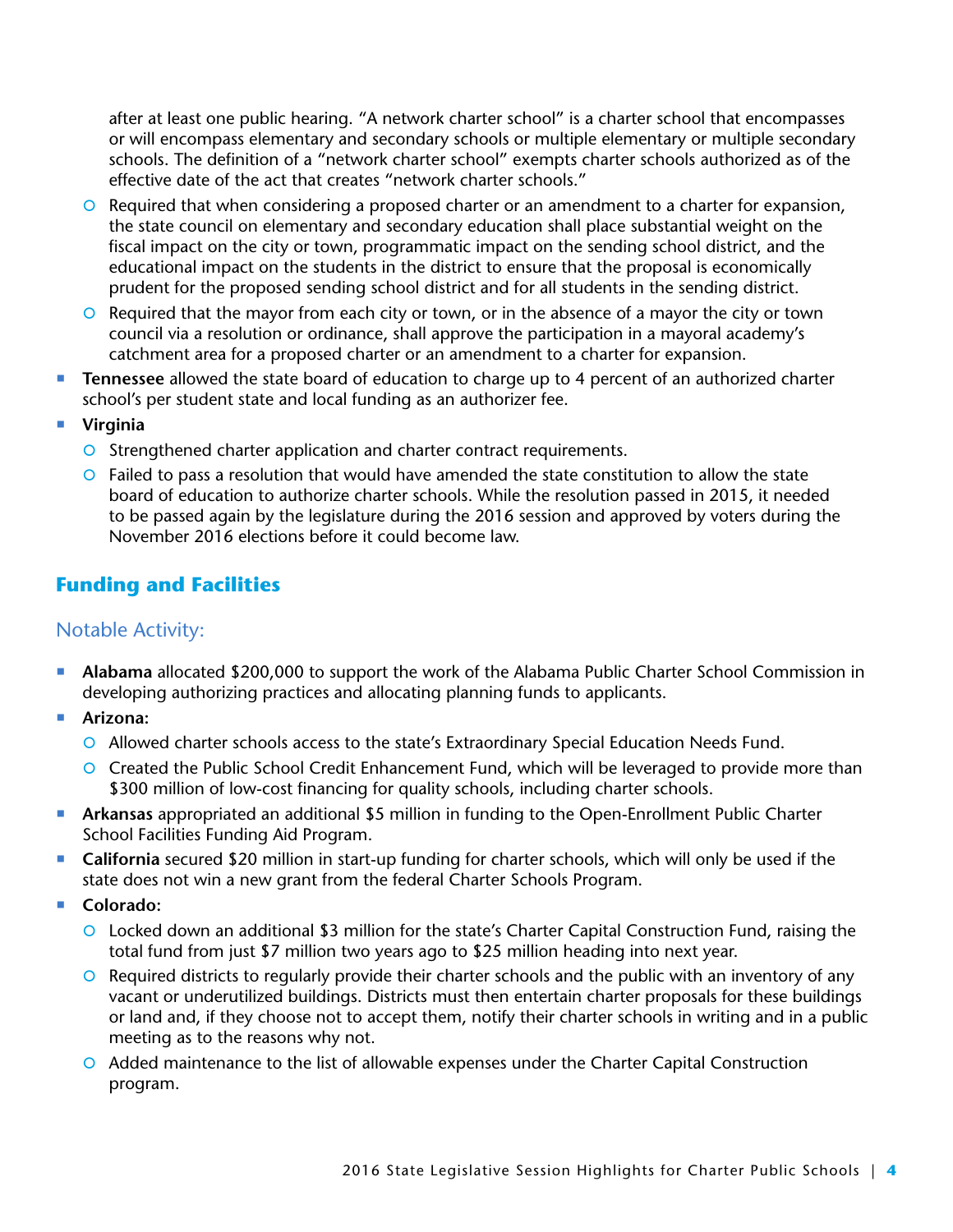after at least one public hearing. "A network charter school" is a charter school that encompasses or will encompass elementary and secondary schools or multiple elementary or multiple secondary schools. The definition of a "network charter school" exempts charter schools authorized as of the effective date of the act that creates "network charter schools."

- $\circ$  Required that when considering a proposed charter or an amendment to a charter for expansion, the state council on elementary and secondary education shall place substantial weight on the fiscal impact on the city or town, programmatic impact on the sending school district, and the educational impact on the students in the district to ensure that the proposal is economically prudent for the proposed sending school district and for all students in the sending district.
- $\circ$  Required that the mayor from each city or town, or in the absence of a mayor the city or town council via a resolution or ordinance, shall approve the participation in a mayoral academy's catchment area for a proposed charter or an amendment to a charter for expansion.
- **Tennessee** allowed the state board of education to charge up to 4 percent of an authorized charter school's per student state and local funding as an authorizer fee.
- **Virginia**
	- **O** Strengthened charter application and charter contract requirements.
	- $\circ$  Failed to pass a resolution that would have amended the state constitution to allow the state board of education to authorize charter schools. While the resolution passed in 2015, it needed to be passed again by the legislature during the 2016 session and approved by voters during the November 2016 elections before it could become law.

## **Funding and Facilities**

## Notable Activity:

- **Alabama** allocated \$200,000 to support the work of the Alabama Public Charter School Commission in developing authorizing practices and allocating planning funds to applicants.
- **Arizona:**
	- O Allowed charter schools access to the state's Extraordinary Special Education Needs Fund.
	- O Created the Public School Credit Enhancement Fund, which will be leveraged to provide more than \$300 million of low-cost financing for quality schools, including charter schools.
- **Arkansas** appropriated an additional \$5 million in funding to the Open-Enrollment Public Charter School Facilities Funding Aid Program.
- **California** secured \$20 million in start-up funding for charter schools, which will only be used if the state does not win a new grant from the federal Charter Schools Program.
- **Colorado:**
	- O Locked down an additional \$3 million for the state's Charter Capital Construction Fund, raising the total fund from just \$7 million two years ago to \$25 million heading into next year.
	- **O** Required districts to regularly provide their charter schools and the public with an inventory of any vacant or underutilized buildings. Districts must then entertain charter proposals for these buildings or land and, if they choose not to accept them, notify their charter schools in writing and in a public meeting as to the reasons why not.
	- | Added maintenance to the list of allowable expenses under the Charter Capital Construction program.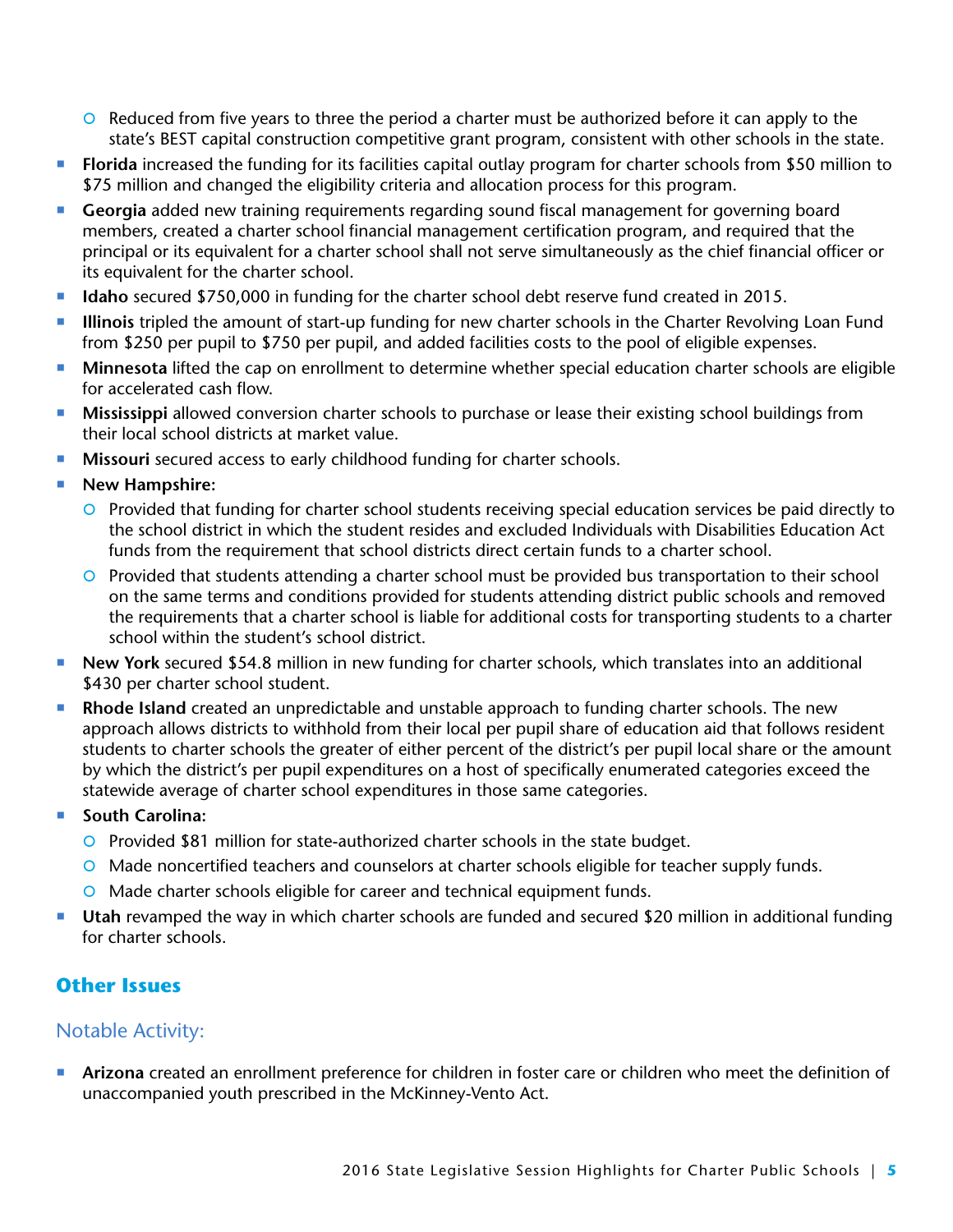- $\circ$  Reduced from five years to three the period a charter must be authorized before it can apply to the state's BEST capital construction competitive grant program, consistent with other schools in the state.
- **Florida** increased the funding for its facilities capital outlay program for charter schools from \$50 million to \$75 million and changed the eligibility criteria and allocation process for this program.
- **Georgia** added new training requirements regarding sound fiscal management for governing board members, created a charter school financial management certification program, and required that the principal or its equivalent for a charter school shall not serve simultaneously as the chief financial officer or its equivalent for the charter school.
- **Idaho** secured \$750,000 in funding for the charter school debt reserve fund created in 2015.
- **Illinois** tripled the amount of start-up funding for new charter schools in the Charter Revolving Loan Fund from \$250 per pupil to \$750 per pupil, and added facilities costs to the pool of eligible expenses.
- **Minnesota** lifted the cap on enrollment to determine whether special education charter schools are eligible for accelerated cash flow.
- **Mississippi** allowed conversion charter schools to purchase or lease their existing school buildings from their local school districts at market value.
- **Missouri** secured access to early childhood funding for charter schools.
- **New Hampshire:** 
	- | Provided that funding for charter school students receiving special education services be paid directly to the school district in which the student resides and excluded Individuals with Disabilities Education Act funds from the requirement that school districts direct certain funds to a charter school.
	- | Provided that students attending a charter school must be provided bus transportation to their school on the same terms and conditions provided for students attending district public schools and removed the requirements that a charter school is liable for additional costs for transporting students to a charter school within the student's school district.
- **New York** secured \$54.8 million in new funding for charter schools, which translates into an additional \$430 per charter school student.
- **Rhode Island** created an unpredictable and unstable approach to funding charter schools. The new approach allows districts to withhold from their local per pupil share of education aid that follows resident students to charter schools the greater of either percent of the district's per pupil local share or the amount by which the district's per pupil expenditures on a host of specifically enumerated categories exceed the statewide average of charter school expenditures in those same categories.
- South Carolina:
	- O Provided \$81 million for state-authorized charter schools in the state budget.
	- | Made noncertified teachers and counselors at charter schools eligible for teacher supply funds.
	- O Made charter schools eligible for career and technical equipment funds.
- **Utah** revamped the way in which charter schools are funded and secured \$20 million in additional funding for charter schools.

### **Other Issues**

#### Notable Activity:

 **Arizona** created an enrollment preference for children in foster care or children who meet the definition of unaccompanied youth prescribed in the McKinney-Vento Act.